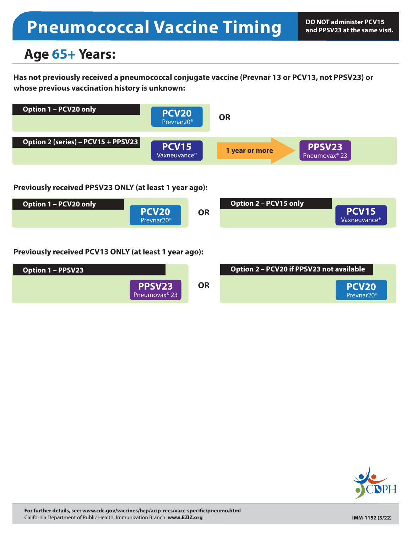# **Pneumococcal Vaccine Timing**

## **Age 65+ Years:**

**Has not previously received a pneumococcal conjugate vaccine (Prevnar 13 or PCV13, not PPSV23) or whose previous vaccination history is unknown:**



#### **Previously received PPSV23 ONLY (at least 1 year ago):**



### **Previously received PCV13 ONLY (at least 1 year ago):**



| Option 2 - PCV20 if PPSV23 not available |                                             |
|------------------------------------------|---------------------------------------------|
|                                          | PCV <sub>20</sub><br>Prevnar20 <sup>®</sup> |